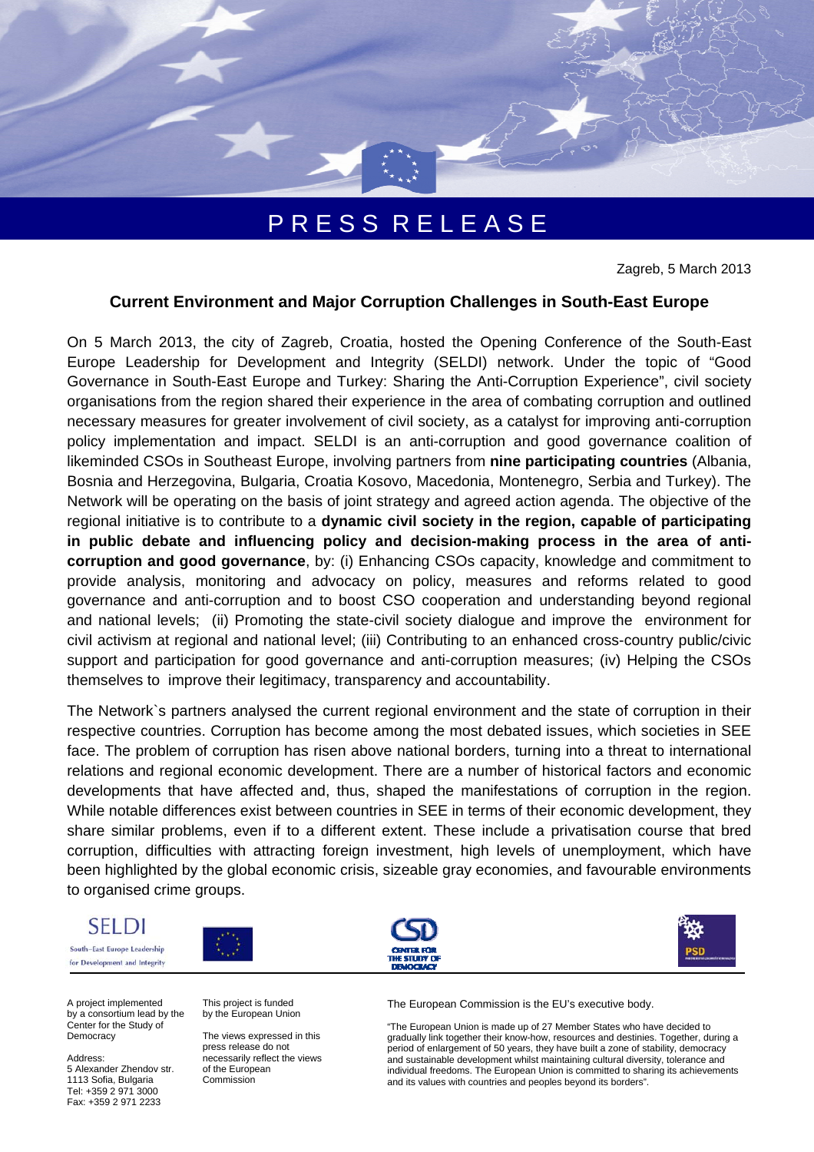

# P R E S S R E L E A S E

Zagreb, 5 March 2013

## **Current Environment and Major Corruption Challenges in South-East Europe**

On 5 March 2013, the city of Zagreb, Croatia, hosted the Opening Conference of the South-East Europe Leadership for Development and Integrity (SELDI) network. Under the topic of "Good Governance in South-East Europe and Turkey: Sharing the Anti-Corruption Experience", civil society organisations from the region shared their experience in the area of combating corruption and outlined necessary measures for greater involvement of civil society, as a catalyst for improving anti-corruption policy implementation and impact. SELDI is an anti-corruption and good governance coalition of likeminded CSOs in Southeast Europe, involving partners from **nine participating countries** (Albania, Bosnia and Herzegovina, Bulgaria, Croatia Kosovo, Macedonia, Montenegro, Serbia and Turkey). The Network will be operating on the basis of joint strategy and agreed action agenda. The objective of the regional initiative is to contribute to a **dynamic civil society in the region, capable of participating in public debate and influencing policy and decision-making process in the area of anticorruption and good governance**, by: (i) Enhancing CSOs capacity, knowledge and commitment to provide analysis, monitoring and advocacy on policy, measures and reforms related to good governance and anti-corruption and to boost CSO cooperation and understanding beyond regional and national levels; (ii) Promoting the state-civil society dialogue and improve the environment for civil activism at regional and national level; (iii) Contributing to an enhanced cross-country public/civic support and participation for good governance and anti-corruption measures; (iv) Helping the CSOs themselves to improve their legitimacy, transparency and accountability.

The Network`s partners analysed the current regional environment and the state of corruption in their respective countries. Corruption has become among the most debated issues, which societies in SEE face. The problem of corruption has risen above national borders, turning into a threat to international relations and regional economic development. There are a number of historical factors and economic developments that have affected and, thus, shaped the manifestations of corruption in the region. While notable differences exist between countries in SEE in terms of their economic development, they share similar problems, even if to a different extent. These include a privatisation course that bred corruption, difficulties with attracting foreign investment, high levels of unemployment, which have been highlighted by the global economic crisis, sizeable gray economies, and favourable environments to organised crime groups.



for Development and Integrity







A project implemented by a consortium lead by the Center for the Study of **Democracy** 

Address:

5 Alexander Zhendov str. 1113 Sofia, Bulgaria Tel: +359 2 971 3000 Fax: +359 2 971 2233

This project is funded by the European Union

The views expressed in this press release do not necessarily reflect the views of the European Commission

The European Commission is the EU's executive body.

"The European Union is made up of 27 Member States who have decided to gradually link together their know-how, resources and destinies. Together, during a period of enlargement of 50 years, they have built a zone of stability, democracy and sustainable development whilst maintaining cultural diversity, tolerance and individual freedoms. The European Union is committed to sharing its achievements and its values with countries and peoples beyond its borders".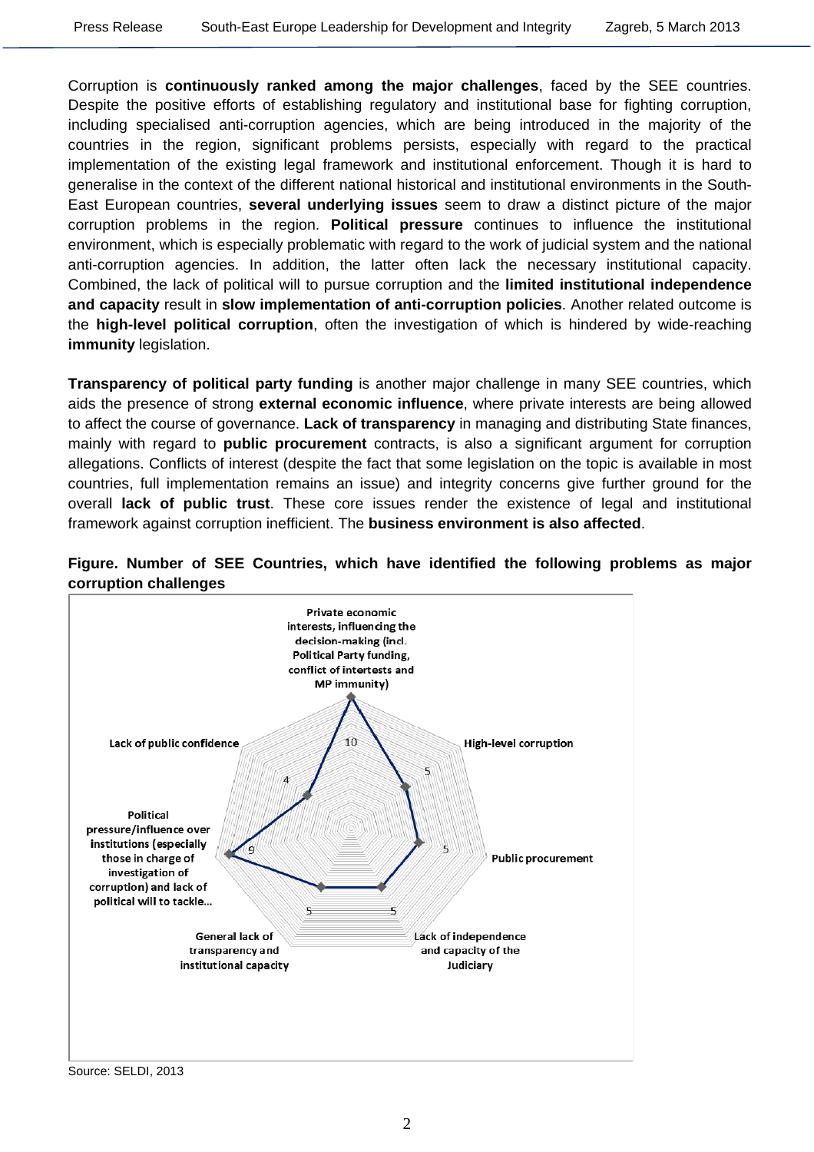Corruption is **continuously ranked among the major challenges**, faced by the SEE countries. Despite the positive efforts of establishing regulatory and institutional base for fighting corruption, including specialised anti-corruption agencies, which are being introduced in the majority of the countries in the region, significant problems persists, especially with regard to the practical implementation of the existing legal framework and institutional enforcement. Though it is hard to generalise in the context of the different national historical and institutional environments in the South-East European countries, **several underlying issues** seem to draw a distinct picture of the major corruption problems in the region. **Political pressure** continues to influence the institutional environment, which is especially problematic with regard to the work of judicial system and the national anti-corruption agencies. In addition, the latter often lack the necessary institutional capacity. Combined, the lack of political will to pursue corruption and the **limited institutional independence and capacity** result in **slow implementation of anti-corruption policies**. Another related outcome is the **high-level political corruption**, often the investigation of which is hindered by wide-reaching **immunity** legislation.

**Transparency of political party funding** is another major challenge in many SEE countries, which aids the presence of strong **external economic influence**, where private interests are being allowed to affect the course of governance. **Lack of transparency** in managing and distributing State finances, mainly with regard to **public procurement** contracts, is also a significant argument for corruption allegations. Conflicts of interest (despite the fact that some legislation on the topic is available in most countries, full implementation remains an issue) and integrity concerns give further ground for the overall **lack of public trust**. These core issues render the existence of legal and institutional framework against corruption inefficient. The **business environment is also affected**.





Source: SELDI, 2013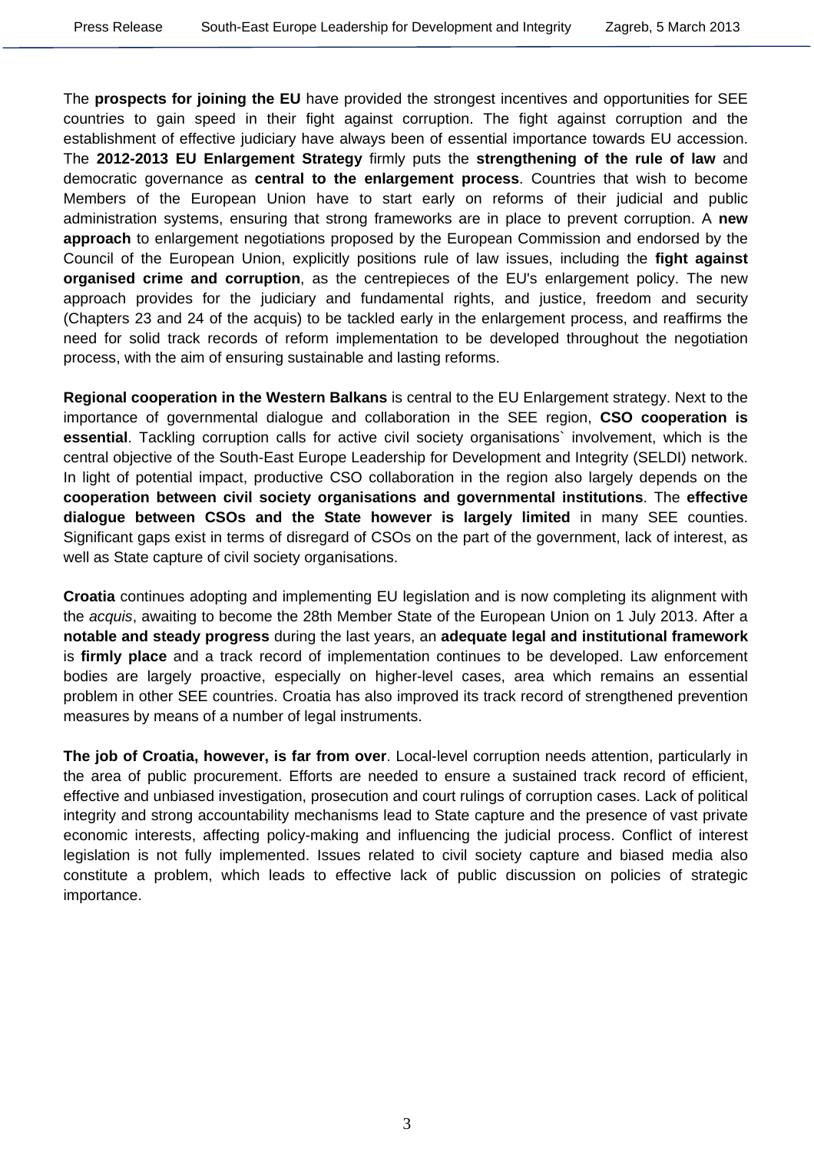The **prospects for joining the EU** have provided the strongest incentives and opportunities for SEE countries to gain speed in their fight against corruption. The fight against corruption and the establishment of effective judiciary have always been of essential importance towards EU accession. The **2012-2013 EU Enlargement Strategy** firmly puts the **strengthening of the rule of law** and democratic governance as **central to the enlargement process**. Countries that wish to become Members of the European Union have to start early on reforms of their judicial and public administration systems, ensuring that strong frameworks are in place to prevent corruption. A **new approach** to enlargement negotiations proposed by the European Commission and endorsed by the Council of the European Union, explicitly positions rule of law issues, including the **fight against organised crime and corruption**, as the centrepieces of the EU's enlargement policy. The new approach provides for the judiciary and fundamental rights, and justice, freedom and security (Chapters 23 and 24 of the acquis) to be tackled early in the enlargement process, and reaffirms the need for solid track records of reform implementation to be developed throughout the negotiation process, with the aim of ensuring sustainable and lasting reforms.

**Regional cooperation in the Western Balkans** is central to the EU Enlargement strategy. Next to the importance of governmental dialogue and collaboration in the SEE region, **CSO cooperation is essential**. Tackling corruption calls for active civil society organisations` involvement, which is the central objective of the South-East Europe Leadership for Development and Integrity (SELDI) network. In light of potential impact, productive CSO collaboration in the region also largely depends on the **cooperation between civil society organisations and governmental institutions**. The **effective dialogue between CSOs and the State however is largely limited** in many SEE counties. Significant gaps exist in terms of disregard of CSOs on the part of the government, lack of interest, as well as State capture of civil society organisations.

**Croatia** continues adopting and implementing EU legislation and is now completing its alignment with the *acquis*, awaiting to become the 28th Member State of the European Union on 1 July 2013. After a **notable and steady progress** during the last years, an **adequate legal and institutional framework** is **firmly place** and a track record of implementation continues to be developed. Law enforcement bodies are largely proactive, especially on higher-level cases, area which remains an essential problem in other SEE countries. Croatia has also improved its track record of strengthened prevention measures by means of a number of legal instruments.

**The job of Croatia, however, is far from over**. Local-level corruption needs attention, particularly in the area of public procurement. Efforts are needed to ensure a sustained track record of efficient, effective and unbiased investigation, prosecution and court rulings of corruption cases. Lack of political integrity and strong accountability mechanisms lead to State capture and the presence of vast private economic interests, affecting policy-making and influencing the judicial process. Conflict of interest legislation is not fully implemented. Issues related to civil society capture and biased media also constitute a problem, which leads to effective lack of public discussion on policies of strategic importance.